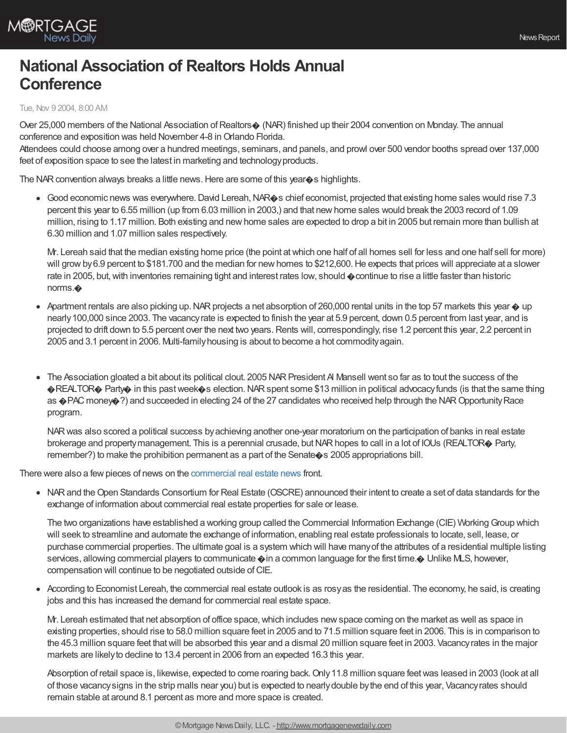

## **National Association of Realtors Holds Annual Conference**

## Tue, Nov 9 2004, 8:00 AM

Over 25,000 members of the National Association of Realtors $\diamond$  (NAR) finished up their 2004 convention on Monday. The annual conference and exposition was held November 4-8 in Orlando Florida.

Attendees could choose among over a hundred meetings, seminars, and panels, and prowl over 500 vendor booths spread over 137,000 feet of exposition space to see the latest in marketing and technology products.

The NAR convention always breaks a little news. Here are some of this year $\diamond$ s highlights.

Good economic news was everywhere. David Lereah, NAR $\hat{\phi}$ s chief economist, projected that existing home sales would rise 7.3 percent this year to 6.55 million (up from 6.03 million in 2003,) and that newhome sales would break the 2003 record of 1.09 million, rising to 1.17 million. Both existing and newhome sales are expected to drop a bit in 2005 but remain more than bullish at 6.30 million and 1.07 million sales respectively.

Mr. Lereah said that the median existing home price (the point atwhich one half of all homes sell for less and one half sell for more) will grow by 6.9 percent to \$181.700 and the median for new homes to \$212,600. He expects that prices will appreciate at a slower rate in 2005, but, with inventories remaining tight and interest rates low, should  $\phi$  continue to rise a little faster than historic norms.�

- Apartment rentals are also picking up. NAR projects a net absorption of 260,000 rental units in the top 57 markets this year  $\odot$  up nearly100,000 since 2003. The vacancyrate is expected to finish the year at 5.9 percent, down 0.5 percent from last year, and is projected to drift down to 5.5 percent over the next two years. Rents will, correspondingly, rise 1.2 percent this year, 2.2 percent in 2005 and 3.1 percent in 2006. Multi-familyhousing is about to become a hot commodityagain.
- The Association gloated a bit about its political clout. 2005 NAR President Al Mansell went so far as to tout the success of the �REALTOR� Party� in this pastweek�s election.NARspent some \$13 million in political advocacyfunds (is that the same thing as  $\bigcirc$ PAC money $\bigcirc$ ?) and succeeded in electing 24 of the 27 candidates who received help through the NAR Opportunity Race program.

NARwas also scored a political success byachieving another one-year moratorium on the participation of banks in real estate brokerage and property management. This is a perennial crusade, but NAR hopes to call in a lot of IOUs (REALTOR® Party, remember?) to make the prohibition permanent as a part of the Senate $\diamond$ s 2005 appropriations bill.

There were also a few pieces of news on the [commercial](http://www.mortgagenewsdaily.com/commercial/) real estate news front.

NARand theOpen Standards Consortium for Real Estate (OSCRE) announced their intent to create a set of data standards for the exchange of information about commercial real estate properties for sale or lease.

The two organizations have established a working group called the Commercial Information Exchange (CIE) Working Group which will seek to streamline and automate the exchange of information, enabling real estate professionals to locate, sell, lease, or purchase commercial properties. The ultimate goal is a system which will have manyof the attributes of a residential multiple listing services, allowing commercial players to communicate  $\phi$  in a common language for the first time. $\phi$  Unlike MLS, however, compensation will continue to be negotiated outside of CIE.

According to Economist Lereah, the commercial real estate outlook is as rosyas the residential. The economy, he said, is creating jobs and this has increased the demand for commercial real estate space.

Mr. Lereah estimated that net absorption of office space, which includes new space coming on the market as well as space in existing properties, should rise to 58.0 million square feet in 2005 and to 71.5 million square feet in 2006. This is in comparison to the 45.3 million square feet thatwill be absorbed this year and a dismal 20 million square feet in 2003. Vacancyrates in the major markets are likelyto decline to 13.4 percent in 2006 from an expected 16.3 this year.

Absorption of retail space is, likewise, expected to come roaring back.Only11.8 million square feetwas leased in 2003 (look at all of those vacancysigns in the strip malls near you) but is expected to nearlydouble bythe end of this year, Vacancyrates should remain stable at around 8.1 percent as more and more space is created.